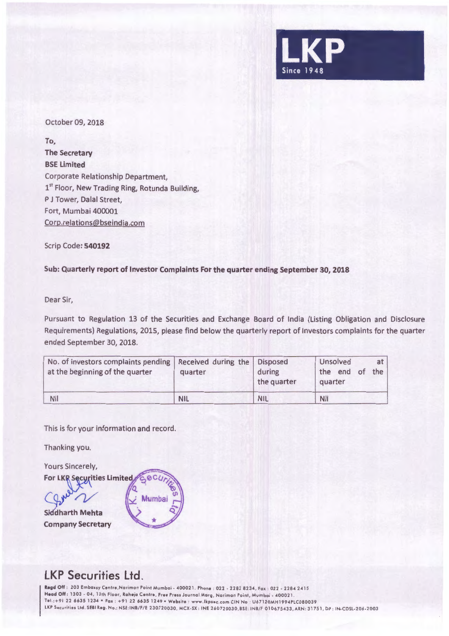

October 09, 2018

**To, The Secretary BSE limited**  Corporate Relationship Department, 1<sup>st</sup> Floor, New Trading Ring, Rotunda Building, P J Tower, Dalal Street, Fort, Mumbai 400001 Corp.relations@bseindia.com

Scrip Code: **540192** 

**Sub: Quarterly report of Investor Complaints For the quarter ending September 30, 2018** 

Dear Sir,

Pursuant to Regulation 13 of the Securities and Exchange Board of India (Listing Obligation and Disclosure Requirements) Regulations, 2015, please find below the quarterly report of Investors complaints for the quarter ended September 30, 2018.

| No. of investors complaints pending<br>at the beginning of the quarter | Received during the   Disposed<br>quarter | during<br>the quarter | Unsolved<br>at <sub>l</sub><br>the end<br>the,<br>$ot$ .<br>quarter |
|------------------------------------------------------------------------|-------------------------------------------|-----------------------|---------------------------------------------------------------------|
| <b>Nil</b>                                                             | <b>NIL</b>                                | <b>NIL</b>            | <b>Nil</b>                                                          |

This is for your information and record.

Thanking you.

**Yours Sincerely,** 

For LKR Securities Limited

 $\Omega$ **Siddharth Mehta Company Secretary** 



## **LKP Securities Ltd.**

Regd Off : 203 Embassy Centre, Nariman Point Mumbai - 400021. Phone : 022 - 2282 8234, Fax : 022 - 2284 2415 Head Off : 1303 - 04, 13th Floor, Raheja Centre, Free Press Journal Marg, Nariman Point, Mumbai - 400021. Tel .:+ 91 22 6635 1234 •Fox : +91 22 6635 1249 •Website : www.lkpsec.com CIN No : U67120MH1994PLC080039 LKP Securities Ltd. SEBI Reg. No.: NSE:INB/F/E 230720030, MCX-SX : INE 260720030, BSE: INB/F 010675433, ARN: 31751, DP : IN-CDSL-206-2003